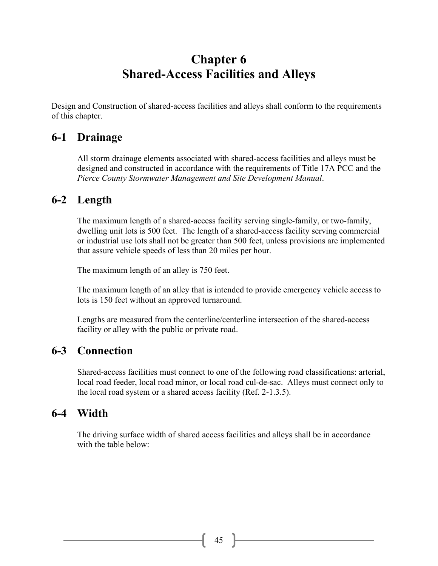# **Chapter 6 Shared-Access Facilities and Alleys**

Design and Construction of shared-access facilities and alleys shall conform to the requirements of this chapter.

## **6-1 Drainage**

All storm drainage elements associated with shared-access facilities and alleys must be designed and constructed in accordance with the requirements of Title 17A PCC and the *Pierce County Stormwater Management and Site Development Manual*.

## **6-2 Length**

The maximum length of a shared-access facility serving single-family, or two-family, dwelling unit lots is 500 feet. The length of a shared-access facility serving commercial or industrial use lots shall not be greater than 500 feet, unless provisions are implemented that assure vehicle speeds of less than 20 miles per hour.

The maximum length of an alley is 750 feet.

The maximum length of an alley that is intended to provide emergency vehicle access to lots is 150 feet without an approved turnaround.

Lengths are measured from the centerline/centerline intersection of the shared-access facility or alley with the public or private road.

## **6-3 Connection**

Shared-access facilities must connect to one of the following road classifications: arterial, local road feeder, local road minor, or local road cul-de-sac. Alleys must connect only to the local road system or a shared access facility (Ref. 2-1.3.5).

## **6-4 Width**

The driving surface width of shared access facilities and alleys shall be in accordance with the table below: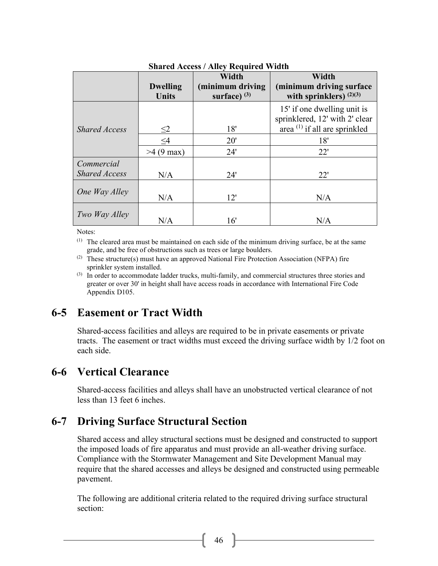| $\beta$ harcu Access / Ancy Ixequireu Widdh |                     |                  |                                                               |
|---------------------------------------------|---------------------|------------------|---------------------------------------------------------------|
|                                             |                     | Width            | Width                                                         |
|                                             | <b>Dwelling</b>     | (minimum driving | (minimum driving surface)                                     |
|                                             | <b>Units</b>        | surface) $(3)$   | with sprinklers) $(2)(3)$                                     |
|                                             |                     |                  | 15' if one dwelling unit is<br>sprinklered, 12' with 2' clear |
| <b>Shared Access</b>                        | $\leq$ 2            | 18'              | area $^{(1)}$ if all are sprinkled                            |
|                                             | $\leq4$             | 20'              | 18'                                                           |
|                                             | $>4(9 \text{ max})$ | 24'              | 22'                                                           |
| Commercial                                  |                     |                  |                                                               |
| <b>Shared Access</b>                        | N/A                 | 24'              | 22'                                                           |
| One Way Alley                               | N/A                 | 12'              | N/A                                                           |
| Two Way Alley                               | N/A                 | 16'              | N/A                                                           |

#### **Shared Access / Alley Required Width**

Notes:

(1) The cleared area must be maintained on each side of the minimum driving surface, be at the same grade, and be free of obstructions such as trees or large boulders.

(2) These structure(s) must have an approved National Fire Protection Association (NFPA) fire sprinkler system installed.

 $<sup>(3)</sup>$  In order to accommodate ladder trucks, multi-family, and commercial structures three stories and</sup> greater or over 30' in height shall have access roads in accordance with International Fire Code Appendix D105.

## **6-5 Easement or Tract Width**

Shared-access facilities and alleys are required to be in private easements or private tracts. The easement or tract widths must exceed the driving surface width by 1/2 foot on each side.

## **6-6 Vertical Clearance**

Shared-access facilities and alleys shall have an unobstructed vertical clearance of not less than 13 feet 6 inches.

## **6-7 Driving Surface Structural Section**

Shared access and alley structural sections must be designed and constructed to support the imposed loads of fire apparatus and must provide an all-weather driving surface. Compliance with the Stormwater Management and Site Development Manual may require that the shared accesses and alleys be designed and constructed using permeable pavement.

The following are additional criteria related to the required driving surface structural section: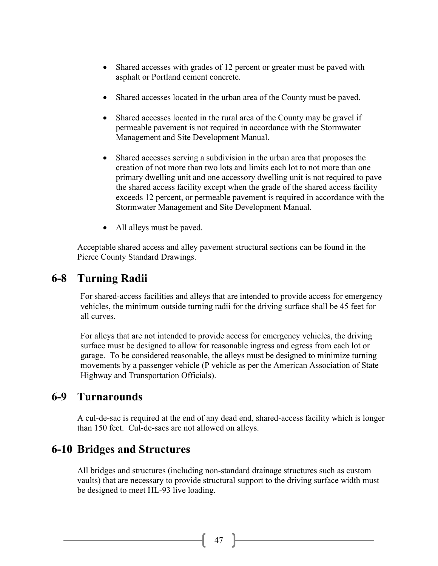- Shared accesses with grades of 12 percent or greater must be paved with asphalt or Portland cement concrete.
- Shared accesses located in the urban area of the County must be paved.
- Shared accesses located in the rural area of the County may be gravel if permeable pavement is not required in accordance with the Stormwater Management and Site Development Manual.
- Shared accesses serving a subdivision in the urban area that proposes the creation of not more than two lots and limits each lot to not more than one primary dwelling unit and one accessory dwelling unit is not required to pave the shared access facility except when the grade of the shared access facility exceeds 12 percent, or permeable pavement is required in accordance with the Stormwater Management and Site Development Manual.
- All alleys must be paved.

Acceptable shared access and alley pavement structural sections can be found in the Pierce County Standard Drawings.

## **6-8 Turning Radii**

For shared-access facilities and alleys that are intended to provide access for emergency vehicles, the minimum outside turning radii for the driving surface shall be 45 feet for all curves.

For alleys that are not intended to provide access for emergency vehicles, the driving surface must be designed to allow for reasonable ingress and egress from each lot or garage. To be considered reasonable, the alleys must be designed to minimize turning movements by a passenger vehicle (P vehicle as per the American Association of State Highway and Transportation Officials).

## **6-9 Turnarounds**

A cul-de-sac is required at the end of any dead end, shared-access facility which is longer than 150 feet. Cul-de-sacs are not allowed on alleys.

## **6-10 Bridges and Structures**

All bridges and structures (including non-standard drainage structures such as custom vaults) that are necessary to provide structural support to the driving surface width must be designed to meet HL-93 live loading.